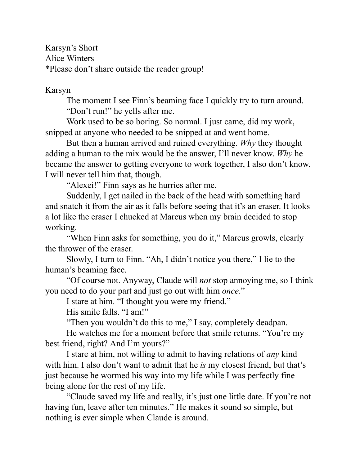Karsyn's Short Alice Winters \*Please don't share outside the reader group!

Karsyn

The moment I see Finn's beaming face I quickly try to turn around. "Don't run!" he yells after me.

Work used to be so boring. So normal. I just came, did my work, snipped at anyone who needed to be snipped at and went home.

But then a human arrived and ruined everything. *Why* they thought adding a human to the mix would be the answer, I'll never know. *Why* he became the answer to getting everyone to work together, I also don't know. I will never tell him that, though.

"Alexei!" Finn says as he hurries after me.

Suddenly, I get nailed in the back of the head with something hard and snatch it from the air as it falls before seeing that it's an eraser. It looks a lot like the eraser I chucked at Marcus when my brain decided to stop working.

"When Finn asks for something, you do it," Marcus growls, clearly the thrower of the eraser.

Slowly, I turn to Finn. "Ah, I didn't notice you there," I lie to the human's beaming face.

"Of course not. Anyway, Claude will *not* stop annoying me, so I think you need to do your part and just go out with him *once*."

I stare at him. "I thought you were my friend."

His smile falls. "I am!"

"Then you wouldn't do this to me," I say, completely deadpan.

He watches me for a moment before that smile returns. "You're my best friend, right? And I'm yours?"

I stare at him, not willing to admit to having relations of *any* kind with him. I also don't want to admit that he *is* my closest friend, but that's just because he wormed his way into my life while I was perfectly fine being alone for the rest of my life.

"Claude saved my life and really, it's just one little date. If you're not having fun, leave after ten minutes." He makes it sound so simple, but nothing is ever simple when Claude is around.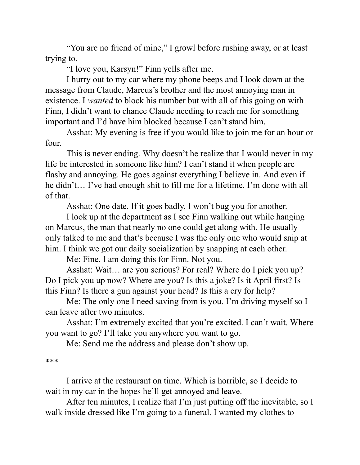"You are no friend of mine," I growl before rushing away, or at least trying to.

"I love you, Karsyn!" Finn yells after me.

I hurry out to my car where my phone beeps and I look down at the message from Claude, Marcus's brother and the most annoying man in existence. I *wanted* to block his number but with all of this going on with Finn, I didn't want to chance Claude needing to reach me for something important and I'd have him blocked because I can't stand him.

Asshat: My evening is free if you would like to join me for an hour or four.

This is never ending. Why doesn't he realize that I would never in my life be interested in someone like him? I can't stand it when people are flashy and annoying. He goes against everything I believe in. And even if he didn't… I've had enough shit to fill me for a lifetime. I'm done with all of that.

Asshat: One date. If it goes badly, I won't bug you for another.

I look up at the department as I see Finn walking out while hanging on Marcus, the man that nearly no one could get along with. He usually only talked to me and that's because I was the only one who would snip at him. I think we got our daily socialization by snapping at each other.

Me: Fine. I am doing this for Finn. Not you.

Asshat: Wait… are you serious? For real? Where do I pick you up? Do I pick you up now? Where are you? Is this a joke? Is it April first? Is this Finn? Is there a gun against your head? Is this a cry for help?

Me: The only one I need saving from is you. I'm driving myself so I can leave after two minutes.

Asshat: I'm extremely excited that you're excited. I can't wait. Where you want to go? I'll take you anywhere you want to go.

Me: Send me the address and please don't show up.

\*\*\*

I arrive at the restaurant on time. Which is horrible, so I decide to wait in my car in the hopes he'll get annoyed and leave.

After ten minutes, I realize that I'm just putting off the inevitable, so I walk inside dressed like I'm going to a funeral. I wanted my clothes to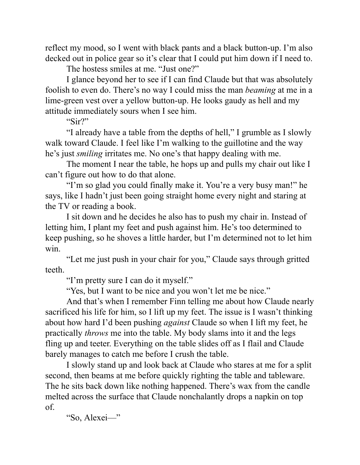reflect my mood, so I went with black pants and a black button-up. I'm also decked out in police gear so it's clear that I could put him down if I need to.

The hostess smiles at me. "Just one?"

I glance beyond her to see if I can find Claude but that was absolutely foolish to even do. There's no way I could miss the man *beaming* at me in a lime-green vest over a yellow button-up. He looks gaudy as hell and my attitude immediately sours when I see him.

"Sir?"

"I already have a table from the depths of hell," I grumble as I slowly walk toward Claude. I feel like I'm walking to the guillotine and the way he's just *smiling* irritates me. No one's that happy dealing with me.

The moment I near the table, he hops up and pulls my chair out like I can't figure out how to do that alone.

"I'm so glad you could finally make it. You're a very busy man!" he says, like I hadn't just been going straight home every night and staring at the TV or reading a book.

I sit down and he decides he also has to push my chair in. Instead of letting him, I plant my feet and push against him. He's too determined to keep pushing, so he shoves a little harder, but I'm determined not to let him win.

"Let me just push in your chair for you," Claude says through gritted teeth.

"I'm pretty sure I can do it myself."

"Yes, but I want to be nice and you won't let me be nice."

And that's when I remember Finn telling me about how Claude nearly sacrificed his life for him, so I lift up my feet. The issue is I wasn't thinking about how hard I'd been pushing *against* Claude so when I lift my feet, he practically *throws* me into the table. My body slams into it and the legs fling up and teeter. Everything on the table slides off as I flail and Claude barely manages to catch me before I crush the table.

I slowly stand up and look back at Claude who stares at me for a split second, then beams at me before quickly righting the table and tableware. The he sits back down like nothing happened. There's wax from the candle melted across the surface that Claude nonchalantly drops a napkin on top of.

"So, Alexei—"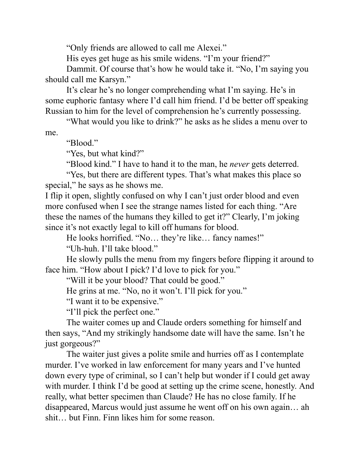"Only friends are allowed to call me Alexei."

His eyes get huge as his smile widens. "I'm your friend?"

Dammit. Of course that's how he would take it. "No, I'm saying you should call me Karsyn."

It's clear he's no longer comprehending what I'm saying. He's in some euphoric fantasy where I'd call him friend. I'd be better off speaking Russian to him for the level of comprehension he's currently possessing.

"What would you like to drink?" he asks as he slides a menu over to me.

"Blood."

"Yes, but what kind?"

"Blood kind." I have to hand it to the man, he *never* gets deterred.

"Yes, but there are different types. That's what makes this place so special," he says as he shows me.

I flip it open, slightly confused on why I can't just order blood and even more confused when I see the strange names listed for each thing. "Are these the names of the humans they killed to get it?" Clearly, I'm joking since it's not exactly legal to kill off humans for blood.

He looks horrified. "No… they're like… fancy names!"

"Uh-huh. I'll take blood."

He slowly pulls the menu from my fingers before flipping it around to face him. "How about I pick? I'd love to pick for you."

"Will it be your blood? That could be good."

He grins at me. "No, no it won't. I'll pick for you."

"I want it to be expensive."

"I'll pick the perfect one."

The waiter comes up and Claude orders something for himself and then says, "And my strikingly handsome date will have the same. Isn't he just gorgeous?"

The waiter just gives a polite smile and hurries off as I contemplate murder. I've worked in law enforcement for many years and I've hunted down every type of criminal, so I can't help but wonder if I could get away with murder. I think I'd be good at setting up the crime scene, honestly. And really, what better specimen than Claude? He has no close family. If he disappeared, Marcus would just assume he went off on his own again… ah shit… but Finn. Finn likes him for some reason.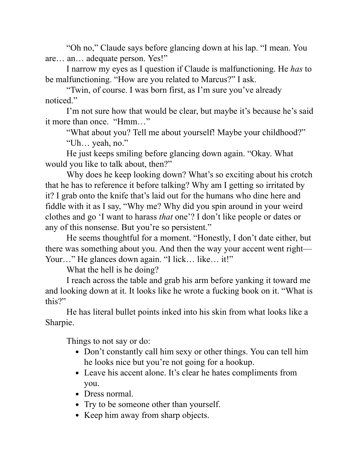"Oh no," Claude says before glancing down at his lap. "I mean. You are… an… adequate person. Yes!"

I narrow my eyes as I question if Claude is malfunctioning. He *has* to be malfunctioning. "How are you related to Marcus?" I ask.

"Twin, of course. I was born first, as I'm sure you've already noticed."

I'm not sure how that would be clear, but maybe it's because he's said it more than once. "Hmm…"

"What about you? Tell me about yourself! Maybe your childhood?" "Uh… yeah, no."

He just keeps smiling before glancing down again. "Okay. What would you like to talk about, then?"

Why does he keep looking down? What's so exciting about his crotch that he has to reference it before talking? Why am I getting so irritated by it? I grab onto the knife that's laid out for the humans who dine here and fiddle with it as I say, "Why me? Why did you spin around in your weird clothes and go 'I want to harass *that* one'? I don't like people or dates or any of this nonsense. But you're so persistent."

He seems thoughtful for a moment. "Honestly, I don't date either, but there was something about you. And then the way your accent went right— Your..." He glances down again. "I lick... like... it!"

What the hell is he doing?

I reach across the table and grab his arm before yanking it toward me and looking down at it. It looks like he wrote a fucking book on it. "What is this?"

He has literal bullet points inked into his skin from what looks like a Sharpie.

Things to not say or do:

- Don't constantly call him sexy or other things. You can tell him he looks nice but you're not going for a hookup.
- Leave his accent alone. It's clear he hates compliments from you.
- Dress normal.
- Try to be someone other than yourself.
- Keep him away from sharp objects.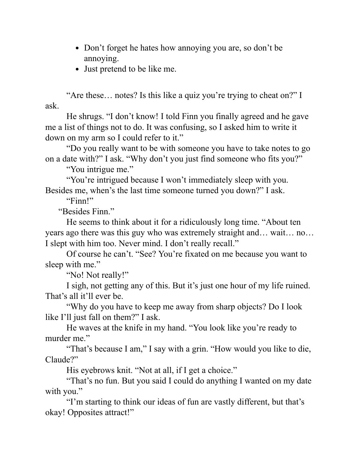- Don't forget he hates how annoying you are, so don't be annoying.
- Just pretend to be like me.

"Are these… notes? Is this like a quiz you're trying to cheat on?" I ask.

He shrugs. "I don't know! I told Finn you finally agreed and he gave me a list of things not to do. It was confusing, so I asked him to write it down on my arm so I could refer to it."

"Do you really want to be with someone you have to take notes to go on a date with?" I ask. "Why don't you just find someone who fits you?"

"You intrigue me."

"You're intrigued because I won't immediately sleep with you. Besides me, when's the last time someone turned you down?" I ask.

"Finn!"

"Besides Finn."

He seems to think about it for a ridiculously long time. "About ten years ago there was this guy who was extremely straight and… wait… no… I slept with him too. Never mind. I don't really recall."

Of course he can't. "See? You're fixated on me because you want to sleep with me."

"No! Not really!"

I sigh, not getting any of this. But it's just one hour of my life ruined. That's all it'll ever be.

"Why do you have to keep me away from sharp objects? Do I look like I'll just fall on them?" I ask.

He waves at the knife in my hand. "You look like you're ready to murder me."

"That's because I am," I say with a grin. "How would you like to die, Claude?"

His eyebrows knit. "Not at all, if I get a choice."

"That's no fun. But you said I could do anything I wanted on my date with you."

"I'm starting to think our ideas of fun are vastly different, but that's okay! Opposites attract!"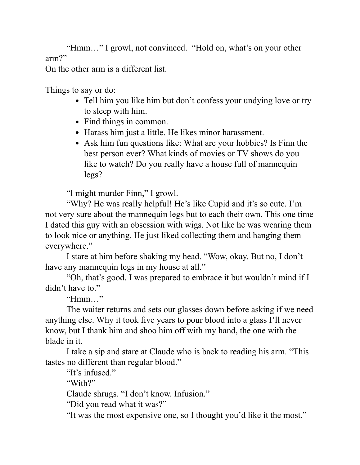"Hmm…" I growl, not convinced. "Hold on, what's on your other arm?"

On the other arm is a different list.

Things to say or do:

- Tell him you like him but don't confess your undying love or try to sleep with him.
- Find things in common.
- Harass him just a little. He likes minor harassment.
- Ask him fun questions like: What are your hobbies? Is Finn the best person ever? What kinds of movies or TV shows do you like to watch? Do you really have a house full of mannequin legs?

"I might murder Finn," I growl.

"Why? He was really helpful! He's like Cupid and it's so cute. I'm not very sure about the mannequin legs but to each their own. This one time I dated this guy with an obsession with wigs. Not like he was wearing them to look nice or anything. He just liked collecting them and hanging them everywhere."

I stare at him before shaking my head. "Wow, okay. But no, I don't have any mannequin legs in my house at all."

"Oh, that's good. I was prepared to embrace it but wouldn't mind if I didn't have to."

"Hmm…"

The waiter returns and sets our glasses down before asking if we need anything else. Why it took five years to pour blood into a glass I'll never know, but I thank him and shoo him off with my hand, the one with the blade in it.

I take a sip and stare at Claude who is back to reading his arm. "This tastes no different than regular blood."

"It's infused."

"With?"

Claude shrugs. "I don't know. Infusion."

"Did you read what it was?"

"It was the most expensive one, so I thought you'd like it the most."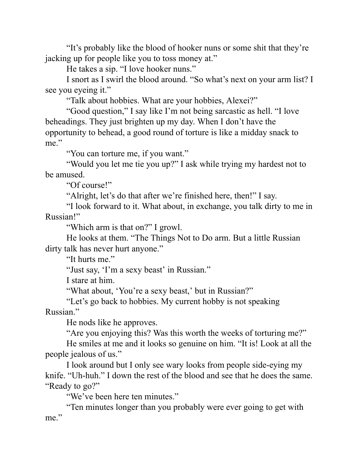"It's probably like the blood of hooker nuns or some shit that they're jacking up for people like you to toss money at."

He takes a sip. "I love hooker nuns."

I snort as I swirl the blood around. "So what's next on your arm list? I see you eyeing it."

"Talk about hobbies. What are your hobbies, Alexei?"

"Good question," I say like I'm not being sarcastic as hell. "I love beheadings. They just brighten up my day. When I don't have the opportunity to behead, a good round of torture is like a midday snack to me."

"You can torture me, if you want."

"Would you let me tie you up?" I ask while trying my hardest not to be amused.

"Of course!"

"Alright, let's do that after we're finished here, then!" I say.

"I look forward to it. What about, in exchange, you talk dirty to me in Russian!"

"Which arm is that on?" I growl.

He looks at them. "The Things Not to Do arm. But a little Russian dirty talk has never hurt anyone."

"It hurts me."

"Just say, 'I'm a sexy beast' in Russian."

I stare at him.

"What about, 'You're a sexy beast,' but in Russian?"

"Let's go back to hobbies. My current hobby is not speaking Russian."

He nods like he approves.

"Are you enjoying this? Was this worth the weeks of torturing me?"

He smiles at me and it looks so genuine on him. "It is! Look at all the people jealous of us."

I look around but I only see wary looks from people side-eying my knife. "Uh-huh." I down the rest of the blood and see that he does the same. "Ready to go?"

"We've been here ten minutes."

"Ten minutes longer than you probably were ever going to get with me."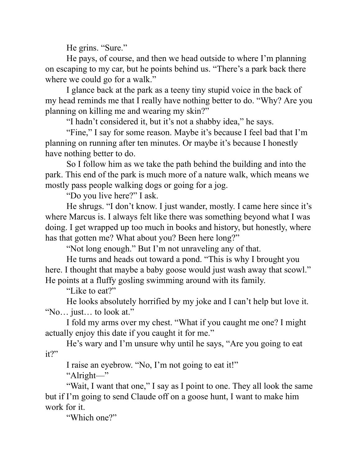He grins. "Sure."

He pays, of course, and then we head outside to where I'm planning on escaping to my car, but he points behind us. "There's a park back there where we could go for a walk."

I glance back at the park as a teeny tiny stupid voice in the back of my head reminds me that I really have nothing better to do. "Why? Are you planning on killing me and wearing my skin?"

"I hadn't considered it, but it's not a shabby idea," he says.

"Fine," I say for some reason. Maybe it's because I feel bad that I'm planning on running after ten minutes. Or maybe it's because I honestly have nothing better to do.

So I follow him as we take the path behind the building and into the park. This end of the park is much more of a nature walk, which means we mostly pass people walking dogs or going for a jog.

"Do you live here?" I ask.

He shrugs. "I don't know. I just wander, mostly. I came here since it's where Marcus is. I always felt like there was something beyond what I was doing. I get wrapped up too much in books and history, but honestly, where has that gotten me? What about you? Been here long?"

"Not long enough." But I'm not unraveling any of that.

He turns and heads out toward a pond. "This is why I brought you here. I thought that maybe a baby goose would just wash away that scowl." He points at a fluffy gosling swimming around with its family.

"Like to eat?"

He looks absolutely horrified by my joke and I can't help but love it. "No… just… to look at."

I fold my arms over my chest. "What if you caught me one? I might actually enjoy this date if you caught it for me."

He's wary and I'm unsure why until he says, "Are you going to eat it?"

I raise an eyebrow. "No, I'm not going to eat it!"

"Alright—"

"Wait, I want that one," I say as I point to one. They all look the same but if I'm going to send Claude off on a goose hunt, I want to make him work for it.

"Which one?"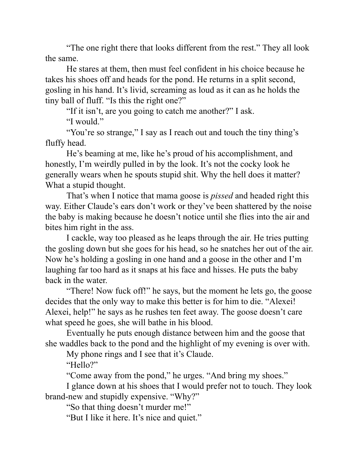"The one right there that looks different from the rest." They all look the same.

He stares at them, then must feel confident in his choice because he takes his shoes off and heads for the pond. He returns in a split second, gosling in his hand. It's livid, screaming as loud as it can as he holds the tiny ball of fluff. "Is this the right one?"

"If it isn't, are you going to catch me another?" I ask.

"I would."

"You're so strange," I say as I reach out and touch the tiny thing's fluffy head.

He's beaming at me, like he's proud of his accomplishment, and honestly, I'm weirdly pulled in by the look. It's not the cocky look he generally wears when he spouts stupid shit. Why the hell does it matter? What a stupid thought.

That's when I notice that mama goose is *pissed* and headed right this way. Either Claude's ears don't work or they've been shattered by the noise the baby is making because he doesn't notice until she flies into the air and bites him right in the ass.

I cackle, way too pleased as he leaps through the air. He tries putting the gosling down but she goes for his head, so he snatches her out of the air. Now he's holding a gosling in one hand and a goose in the other and I'm laughing far too hard as it snaps at his face and hisses. He puts the baby back in the water.

"There! Now fuck off!" he says, but the moment he lets go, the goose decides that the only way to make this better is for him to die. "Alexei! Alexei, help!" he says as he rushes ten feet away. The goose doesn't care what speed he goes, she will bathe in his blood.

Eventually he puts enough distance between him and the goose that she waddles back to the pond and the highlight of my evening is over with.

My phone rings and I see that it's Claude.

"Hello?"

"Come away from the pond," he urges. "And bring my shoes."

I glance down at his shoes that I would prefer not to touch. They look brand-new and stupidly expensive. "Why?"

"So that thing doesn't murder me!"

"But I like it here. It's nice and quiet."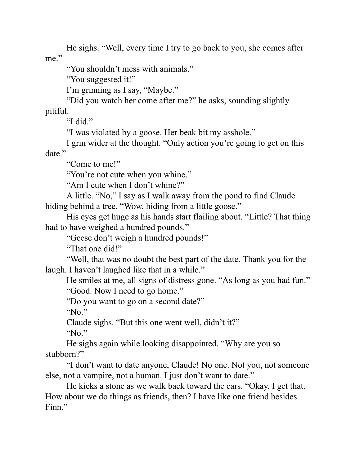He sighs. "Well, every time I try to go back to you, she comes after me."

"You shouldn't mess with animals."

"You suggested it!"

I'm grinning as I say, "Maybe."

"Did you watch her come after me?" he asks, sounding slightly pitiful.

"I did."

"I was violated by a goose. Her beak bit my asshole."

I grin wider at the thought. "Only action you're going to get on this date."

"Come to me!"

"You're not cute when you whine."

"Am I cute when I don't whine?"

A little. "No," I say as I walk away from the pond to find Claude hiding behind a tree. "Wow, hiding from a little goose."

His eyes get huge as his hands start flailing about. "Little? That thing had to have weighed a hundred pounds."

"Geese don't weigh a hundred pounds!"

"That one did!"

"Well, that was no doubt the best part of the date. Thank you for the laugh. I haven't laughed like that in a while."

He smiles at me, all signs of distress gone. "As long as you had fun." "Good. Now I need to go home."

"Do you want to go on a second date?"

"No."

Claude sighs. "But this one went well, didn't it?"

"No."

He sighs again while looking disappointed. "Why are you so stubborn?"

"I don't want to date anyone, Claude! No one. Not you, not someone else, not a vampire, not a human. I just don't want to date."

He kicks a stone as we walk back toward the cars. "Okay. I get that. How about we do things as friends, then? I have like one friend besides Finn."